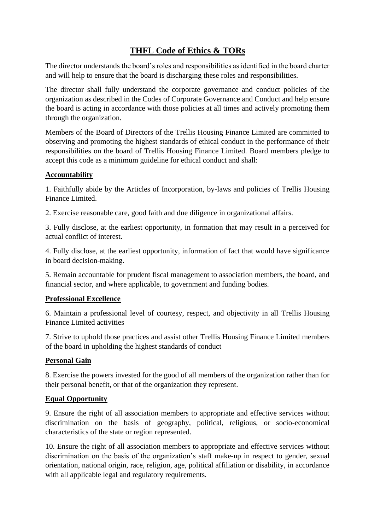# **THFL Code of Ethics & TORs**

The director understands the board's roles and responsibilities as identified in the board charter and will help to ensure that the board is discharging these roles and responsibilities.

The director shall fully understand the corporate governance and conduct policies of the organization as described in the Codes of Corporate Governance and Conduct and help ensure the board is acting in accordance with those policies at all times and actively promoting them through the organization.

Members of the Board of Directors of the Trellis Housing Finance Limited are committed to observing and promoting the highest standards of ethical conduct in the performance of their responsibilities on the board of Trellis Housing Finance Limited. Board members pledge to accept this code as a minimum guideline for ethical conduct and shall:

## **Accountability**

1. Faithfully abide by the Articles of Incorporation, by-laws and policies of Trellis Housing Finance Limited.

2. Exercise reasonable care, good faith and due diligence in organizational affairs.

3. Fully disclose, at the earliest opportunity, in formation that may result in a perceived for actual conflict of interest.

4. Fully disclose, at the earliest opportunity, information of fact that would have significance in board decision-making.

5. Remain accountable for prudent fiscal management to association members, the board, and financial sector, and where applicable, to government and funding bodies.

#### **Professional Excellence**

6. Maintain a professional level of courtesy, respect, and objectivity in all Trellis Housing Finance Limited activities

7. Strive to uphold those practices and assist other Trellis Housing Finance Limited members of the board in upholding the highest standards of conduct

## **Personal Gain**

8. Exercise the powers invested for the good of all members of the organization rather than for their personal benefit, or that of the organization they represent.

#### **Equal Opportunity**

9. Ensure the right of all association members to appropriate and effective services without discrimination on the basis of geography, political, religious, or socio-economical characteristics of the state or region represented.

10. Ensure the right of all association members to appropriate and effective services without discrimination on the basis of the organization's staff make-up in respect to gender, sexual orientation, national origin, race, religion, age, political affiliation or disability, in accordance with all applicable legal and regulatory requirements.